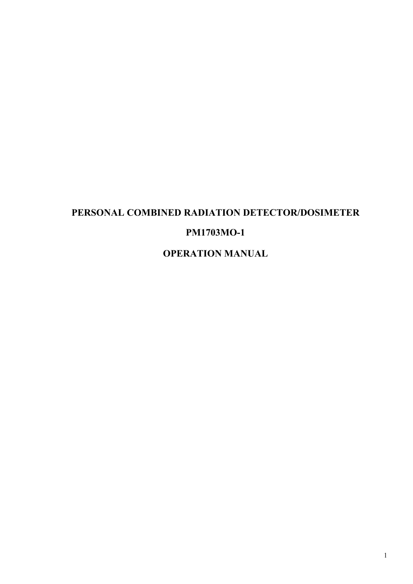# **PERSONAL COMBINED RADIATION DETECTOR/DOSIMETER РМ1703МО-1 OPERATION MANUAL**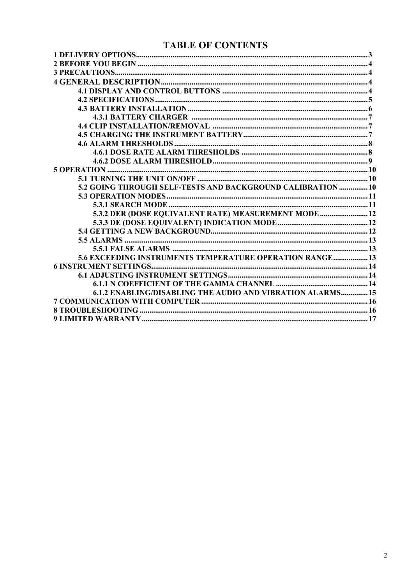# **TABLE OF CONTENTS**

| 5.2 GOING THROUGH SELF-TESTS AND BACKGROUND CALIBRATION 10 |  |
|------------------------------------------------------------|--|
|                                                            |  |
|                                                            |  |
| 5.3.2 DER (DOSE EQUIVALENT RATE) MEASUREMENT MODE 12       |  |
|                                                            |  |
|                                                            |  |
|                                                            |  |
|                                                            |  |
| 5.6 EXCEEDING INSTRUMENTS TEMPERATURE OPERATION RANGE 13   |  |
|                                                            |  |
|                                                            |  |
|                                                            |  |
| 6.1.2 ENABLING/DISABLING THE AUDIO AND VIBRATION ALARMS 15 |  |
|                                                            |  |
|                                                            |  |
|                                                            |  |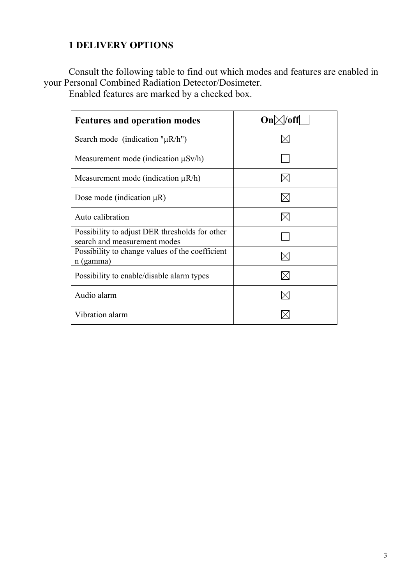# <span id="page-2-0"></span>**1 DELIVERY OPTIONS**

Consult the following table to find out which modes and features are enabled in your Personal Combined Radiation Detector/Dosimeter.

Enabled features are marked by a checked box.

| <b>Features and operation modes</b>                                            | On <sub>l</sub> |
|--------------------------------------------------------------------------------|-----------------|
| Search mode (indication " $\mu$ R/h")                                          |                 |
| Measurement mode (indication $\mu Sv/h$ )                                      |                 |
| Measurement mode (indication $\mu$ R/h)                                        |                 |
| Dose mode (indication $\mu$ R)                                                 |                 |
| Auto calibration                                                               |                 |
| Possibility to adjust DER thresholds for other<br>search and measurement modes |                 |
| Possibility to change values of the coefficient<br>n (gamma)                   |                 |
| Possibility to enable/disable alarm types                                      |                 |
| Audio alarm                                                                    |                 |
| Vibration alarm                                                                |                 |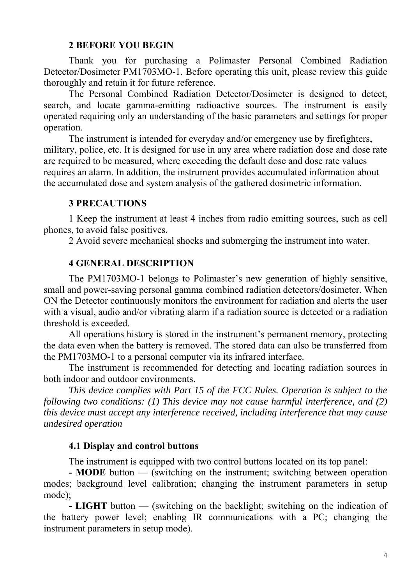#### <span id="page-3-0"></span>**2 BEFORE YOU BEGIN**

Thank you for purchasing a Polimaster Personal Combined Radiation Detector/Dosimeter PM1703MO-1. Before operating this unit, please review this guide thoroughly and retain it for future reference.

The Personal Combined Radiation Detector/Dosimeter is designed to detect, search, and locate gamma-emitting radioactive sources. The instrument is easily operated requiring only an understanding of the basic parameters and settings for proper operation.

The instrument is intended for everyday and/or emergency use by firefighters, military, police, etc. It is designed for use in any area where radiation dose and dose rate are required to be measured, where exceeding the default dose and dose rate values requires an alarm. In addition, the instrument provides accumulated information about the accumulated dose and system analysis of the gathered dosimetric information.

### <span id="page-3-1"></span>**3 PRECAUTIONS**

1 Keep the instrument at least 4 inches from radio emitting sources, such as cell phones, to avoid false positives.

2 Avoid severe mechanical shocks and submerging the instrument into water.

#### <span id="page-3-2"></span>**4 GENERAL DESCRIPTION**

The PM1703MO-1 belongs to Polimaster's new generation of highly sensitive, small and power-saving personal gamma combined radiation detectors/dosimeter. When ON the Detector continuously monitors the environment for radiation and alerts the user with a visual, audio and/or vibrating alarm if a radiation source is detected or a radiation threshold is exceeded.

All operations history is stored in the instrument's permanent memory, protecting the data even when the battery is removed. The stored data can also be transferred from the РМ1703МО-1 to a personal computer via its infrared interface.

The instrument is recommended for detecting and locating radiation sources in both indoor and outdoor environments.

*This device complies with Part 15 of the FCC Rules. Operation is subject to the following two conditions: (1) This device may not cause harmful interference, and (2) this device must accept any interference received, including interference that may cause undesired operation* 

#### <span id="page-3-3"></span>**4.1 Display and control buttons**

The instrument is equipped with two control buttons located on its top panel:

**- MODE** button — (switching on the instrument; switching between operation modes; background level calibration; changing the instrument parameters in setup mode);

**- LIGHT** button — (switching on the backlight; switching on the indication of the battery power level; enabling IR communications with a PC; changing the instrument parameters in setup mode).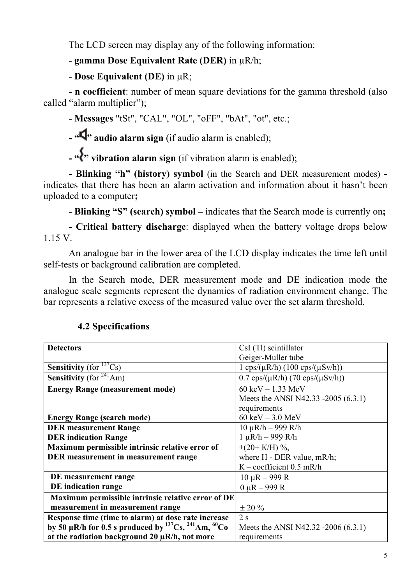The LCD screen may display any of the following information:

# **- gamma Dose Equivalent Rate (DER)** in  $uR/h$ ;

**- Dose Equivalent (DЕ)** in µR;

**- n coefficient**: number of mean square deviations for the gamma threshold (also called "alarm multiplier");

**- Messages** "tSt", "CAL", "OL", "oFF", "bAt", "ot", etc.;

**- "d**" audio alarm sign (if audio alarm is enabled);

- " **\*\*\***" vibration alarm sign (if vibration alarm is enabled);

**- Blinking "h" (history) symbol** (in the Search and DER measurement modes) indicates that there has been an alarm activation and information about it hasn't been uploaded to a computer**;**

**- Blinking "S" (search) symbol –** indicates that the Search mode is currently on**;**

**- Critical battery discharge**: displayed when the battery voltage drops below 1.15 V.

An analogue bar in the lower area of the LCD display indicates the time left until self-tests or background calibration are completed.

In the Search mode, DER measurement mode and DE indication mode the analogue scale segments represent the dynamics of radiation environment change. The bar represents a relative excess of the measured value over the set alarm threshold.

| <b>Detectors</b>                                                                             | $CsI(Tl)$ scintillator                                |
|----------------------------------------------------------------------------------------------|-------------------------------------------------------|
|                                                                                              | Geiger-Muller tube                                    |
| <b>Sensitivity</b> (for $^{137}Cs$ )                                                         | $1 \text{cps}/(\mu R/h) (100 \text{cps}/(\mu S v/h))$ |
| <b>Sensitivity</b> (for $^{241}$ Am)                                                         | $0.7 \text{ cps}/(\mu R/h)$ (70 cps/( $\mu Sv/h$ ))   |
| <b>Energy Range (measurement mode)</b>                                                       | $60 \text{ keV} - 1.33 \text{ MeV}$                   |
|                                                                                              | Meets the ANSI N42.33 -2005 (6.3.1)                   |
|                                                                                              | requirements                                          |
| <b>Energy Range (search mode)</b>                                                            | $60 \text{ keV} - 3.0 \text{ MeV}$                    |
| <b>DER</b> measurement Range                                                                 | $10 \mu R/h - 999 R/h$                                |
| <b>DER</b> indication Range                                                                  | $1 \mu R/h - 999 R/h$                                 |
| Maximum permissible intrinsic relative error of                                              | $\pm(20+ K/H)$ %,                                     |
| DER measurement in measurement range                                                         | where $H$ - DER value, $mR/h$ ;                       |
|                                                                                              | $K$ – coefficient 0.5 mR/h                            |
| DE measurement range                                                                         | $10 \mu R - 999 R$                                    |
| DE indication range                                                                          | $0 \mu R - 999 R$                                     |
| Maximum permissible intrinsic relative error of DE                                           |                                                       |
| measurement in measurement range                                                             | $\pm 20\%$                                            |
| Response time (time to alarm) at dose rate increase                                          | 2s                                                    |
| by 50 $\mu$ R/h for 0.5 s produced by <sup>137</sup> Cs, <sup>241</sup> Am, <sup>60</sup> Co | Meets the ANSI N42.32 -2006 (6.3.1)                   |
| at the radiation background $20 \mu R/h$ , not more                                          | requirements                                          |

# <span id="page-4-0"></span>**4.2 Specifications**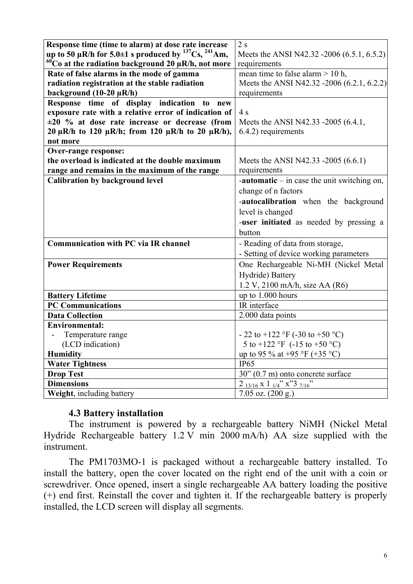| Response time (time to alarm) at dose rate increase                 | 2s                                                                  |
|---------------------------------------------------------------------|---------------------------------------------------------------------|
| up to 50 µR/h for 5.0±1 s produced by $^{137}Cs$ , $^{241}Am$ ,     | Meets the ANSI N42.32 -2006 (6.5.1, 6.5.2)                          |
| $\rm ^{60}Co$ at the radiation background 20 µR/h, not more         | requirements                                                        |
| Rate of false alarms in the mode of gamma                           | mean time to false alarm $> 10$ h,                                  |
| radiation registration at the stable radiation                      | Meets the ANSI N42.32 -2006 (6.2.1, 6.2.2)                          |
| background $(10-20 \mu R/h)$                                        | requirements                                                        |
| Response time of display indication to new                          |                                                                     |
| exposure rate with a relative error of indication of                | 4s                                                                  |
| $\pm 20$ % at dose rate increase or decrease (from                  | Meets the ANSI N42.33 -2005 (6.4.1,                                 |
| 20 $\mu$ R/h to 120 $\mu$ R/h; from 120 $\mu$ R/h to 20 $\mu$ R/h), | 6.4.2) requirements                                                 |
| not more                                                            |                                                                     |
| <b>Over-range response:</b>                                         |                                                                     |
| the overload is indicated at the double maximum                     | Meets the ANSI N42.33 -2005 (6.6.1)                                 |
| range and remains in the maximum of the range                       | requirements                                                        |
| <b>Calibration by background level</b>                              | <b>-automatic</b> $-$ in case the unit switching on,                |
|                                                                     | change of n factors                                                 |
|                                                                     | -autocalibration when the background                                |
|                                                                     | level is changed                                                    |
|                                                                     |                                                                     |
|                                                                     | -user initiated as needed by pressing a                             |
|                                                                     | button                                                              |
| <b>Communication with PC via IR channel</b>                         | - Reading of data from storage,                                     |
|                                                                     | - Setting of device working parameters                              |
| <b>Power Requirements</b>                                           | One Rechargeable Ni-MH (Nickel Metal                                |
|                                                                     | Hydride) Battery                                                    |
|                                                                     |                                                                     |
|                                                                     | 1.2 V, 2100 mA/h, size AA (R6)                                      |
| <b>Battery Lifetime</b><br><b>PC Communications</b>                 | up to 1.000 hours<br>IR interface                                   |
| <b>Data Collection</b>                                              | 2.000 data points                                                   |
| <b>Environmental:</b>                                               |                                                                     |
| Temperature range                                                   | $-22$ to $+122$ °F (-30 to $+50$ °C)                                |
| (LCD indication)                                                    | 5 to +122 °F (-15 to +50 °C)                                        |
| <b>Humidity</b>                                                     | up to 95 % at +95 °F (+35 °C)                                       |
| <b>Water Tightness</b>                                              | <b>IP65</b>                                                         |
| <b>Drop Test</b>                                                    | 30" (0.7 m) onto concrete surface                                   |
| <b>Dimensions</b>                                                   | $2_{13/16}$ x 1 $\frac{1}{1/4}$ x $\frac{3}{1/16}$ $\frac{7}{1/16}$ |

#### <span id="page-5-0"></span>**4.3 Battery installation**

The instrument is powered by a rechargeable battery NiMH (Nickel Metal Hydride Rechargeable battery 1.2 V min 2000 mA/h) AA size supplied with the instrument.

The PM1703MO-1 is packaged without a rechargeable battery installed. To install the battery, open the cover located on the right end of the unit with a coin or screwdriver. Once opened, insert a single rechargeable AA battery loading the positive (+) end first. Reinstall the cover and tighten it. If the rechargeable battery is properly installed, the LCD screen will display all segments.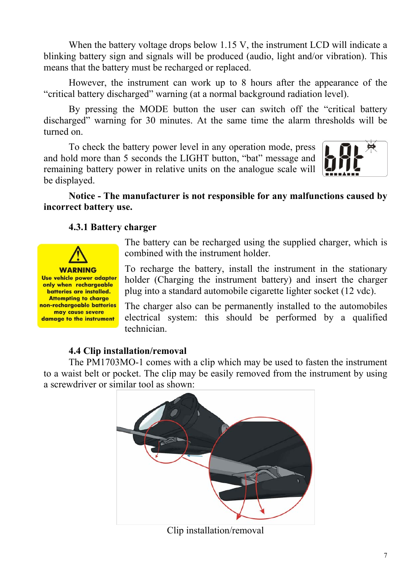When the battery voltage drops below 1.15 V, the instrument LCD will indicate a blinking battery sign and signals will be produced (audio, light and/or vibration). This means that the battery must be recharged or replaced.

However, the instrument can work up to 8 hours after the appearance of the "critical battery discharged" warning (at a normal background radiation level).

By pressing the MODE button the user can switch off the "critical battery discharged" warning for 30 minutes. At the same time the alarm thresholds will be turned on.

To check the battery power level in any operation mode, press and hold more than 5 seconds the LIGHT button, "bat" message and remaining battery power in relative units on the analogue scale will be displayed.



### **Notice - The manufacturer is not responsible for any malfunctions caused by incorrect battery use.**

### <span id="page-6-0"></span>**4.3.1 Battery charger**



The battery can be recharged using the supplied charger, which is combined with the instrument holder.

To recharge the battery, install the instrument in the stationary holder (Charging the instrument battery) and insert the charger plug into a standard automobile cigarette lighter socket (12 vdc).

The charger also can be permanently installed to the automobiles electrical system: this should be performed by a qualified technician.

### <span id="page-6-1"></span>**4.4 Clip installation/removal**

The PM1703MO-1 comes with a clip which may be used to fasten the instrument to a waist belt or pocket. The clip may be easily removed from the instrument by using a screwdriver or similar tool as shown:

<span id="page-6-2"></span>

Clip installation/removal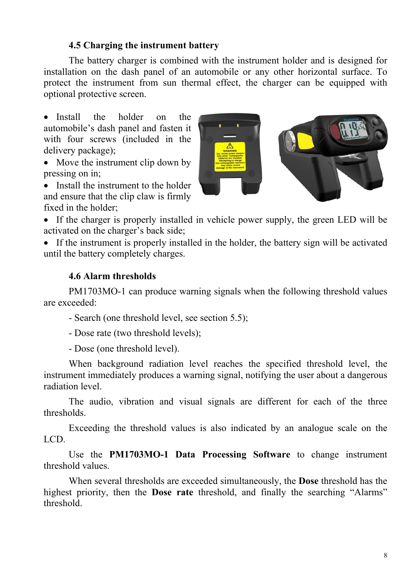### **4.5 Charging the instrument battery**

The battery charger is combined with the instrument holder and is designed for installation on the dash panel of an automobile or any other horizontal surface. To protect the instrument from sun thermal effect, the charger can be equipped with optional protective screen.

• Install the holder on the automobile's dash panel and fasten it with four screws (included in the delivery package);

• Move the instrument clip down by pressing on in;

• Install the instrument to the holder and ensure that the clip claw is firmly fixed in the holder;



• If the charger is properly installed in vehicle power supply, the green LED will be activated on the charger's back side;

• If the instrument is properly installed in the holder, the battery sign will be activated until the battery completely charges.

#### <span id="page-7-0"></span>**4.6 Alarm thresholds**

PM1703MO-1 can produce warning signals when the following threshold values are exceeded:

- Search (one threshold level, see section 5.5);

- Dose rate (two threshold levels);

- Dose (one threshold level).

When background radiation level reaches the specified threshold level, the instrument immediately produces a warning signal, notifying the user about a dangerous radiation level.

The audio, vibration and visual signals are different for each of the three thresholds.

Exceeding the threshold values is also indicated by an analogue scale on the LCD.

Use the **PM1703MO-1 Data Processing Software** to change instrument threshold values.

<span id="page-7-1"></span>When several thresholds are exceeded simultaneously, the **Dose** threshold has the highest priority, then the **Dose rate** threshold, and finally the searching "Alarms" threshold.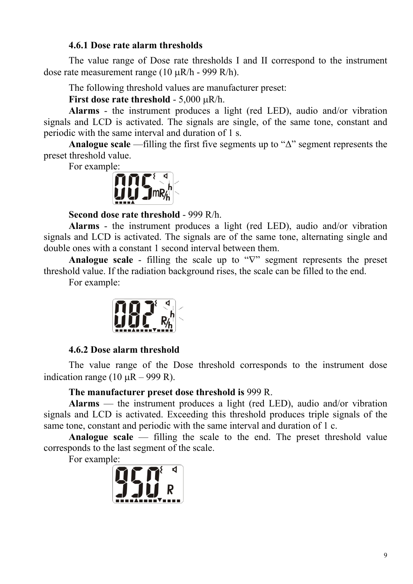### **4.6.1 Dose rate alarm thresholds**

The value range of Dose rate thresholds I and II correspond to the instrument dose rate measurement range (10 µR/h - 999 R/h).

The following threshold values are manufacturer preset:

**First dose rate threshold** - 5,000 µR/h.

**Alarms** - the instrument produces a light (red LED), audio and/or vibration signals and LCD is activated. The signals are single, of the same tone, constant and periodic with the same interval and duration of 1 s.

**Analogue scale** —filling the first five segments up to "∆" segment represents the preset threshold value.

For example:



**Second dose rate threshold** - 999 R/h.

**Alarms** - the instrument produces a light (red LED), audio and/or vibration signals and LCD is activated. The signals are of the same tone, alternating single and double ones with a constant 1 second interval between them.

**Analogue scale** - filling the scale up to "∇" segment represents the preset threshold value. If the radiation background rises, the scale can be filled to the end.

For example:



#### <span id="page-8-0"></span>**4.6.2 Dose alarm threshold**

The value range of the Dose threshold corresponds to the instrument dose indication range (10  $\mu$ R – 999 R).

#### **The manufacturer preset dose threshold is** 999 R.

**Alarms** — the instrument produces a light (red LED), audio and/or vibration signals and LCD is activated. Exceeding this threshold produces triple signals of the same tone, constant and periodic with the same interval and duration of 1 c.

**Analogue scale** — filling the scale to the end. The preset threshold value corresponds to the last segment of the scale.

For example:

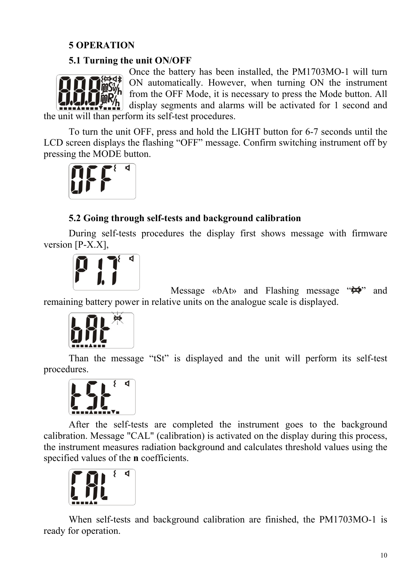# <span id="page-9-0"></span>**5 OPERATION**

# <span id="page-9-1"></span>**5.1 Turning the unit ON/OFF**



Once the battery has been installed, the РМ1703МО-1 will turn ON automatically. However, when turning ON the instrument from the OFF Mode, it is necessary to press the Mode button. All display segments and alarms will be activated for 1 second and

the unit will than perform its self-test procedures.

To turn the unit OFF, press and hold the LIGHT button for 6-7 seconds until the LCD screen displays the flashing "OFF" message. Confirm switching instrument off by pressing the MODE button.



# <span id="page-9-2"></span>**5.2 Going through self-tests and background calibration**

During self-tests procedures the display first shows message with firmware version [P-X.X],



Message «bAt» and Flashing message " $\leftrightarrow$ " and remaining battery power in relative units on the analogue scale is displayed.



 $\overline{a}$ 

Than the message "tSt" is displayed and the unit will perform its self-test procedures.



After the self-tests are completed the instrument goes to the background calibration. Message "CAL" (calibration) is activated on the display during this process, the instrument measures radiation background and calculates threshold values using the specified values of the **n** coefficients.



When self-tests and background calibration are finished, the РМ1703МО-1 is ready for operation.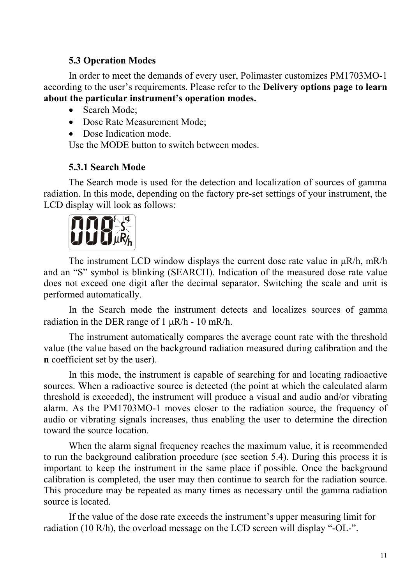# <span id="page-10-0"></span>**5.3 Operation Modes**

In order to meet the demands of every user, Polimaster customizes PM1703MO-1 according to the user's requirements. Please refer to the **Delivery options page to learn about the particular instrument's operation modes.** 

- Search Mode:
- Dose Rate Measurement Mode:
- Dose Indication mode.

Use the MODE button to switch between modes.

### <span id="page-10-1"></span>**5.3.1 Search Mode**

The Search mode is used for the detection and localization of sources of gamma radiation. In this mode, depending on the factory pre-set settings of your instrument, the LCD display will look as follows:



The instrument LCD window displays the current dose rate value in  $\mu$ R/h, mR/h and an "S" symbol is blinking (SEARCH). Indication of the measured dose rate value does not exceed one digit after the decimal separator. Switching the scale and unit is performed automatically.

In the Search mode the instrument detects and localizes sources of gamma radiation in the DER range of 1  $\mu$ R/h - 10 mR/h.

The instrument automatically compares the average count rate with the threshold value (the value based on the background radiation measured during calibration and the **n** coefficient set by the user).

In this mode, the instrument is capable of searching for and locating radioactive sources. When a radioactive source is detected (the point at which the calculated alarm threshold is exceeded), the instrument will produce a visual and audio and/or vibrating alarm. As the РМ1703МО-1 moves closer to the radiation source, the frequency of audio or vibrating signals increases, thus enabling the user to determine the direction toward the source location.

When the alarm signal frequency reaches the maximum value, it is recommended to run the background calibration procedure (see section 5.4). During this process it is important to keep the instrument in the same place if possible. Once the background calibration is completed, the user may then continue to search for the radiation source. This procedure may be repeated as many times as necessary until the gamma radiation source is located.

If the value of the dose rate exceeds the instrument's upper measuring limit for radiation (10 R/h), the overload message on the LCD screen will display "-OL-".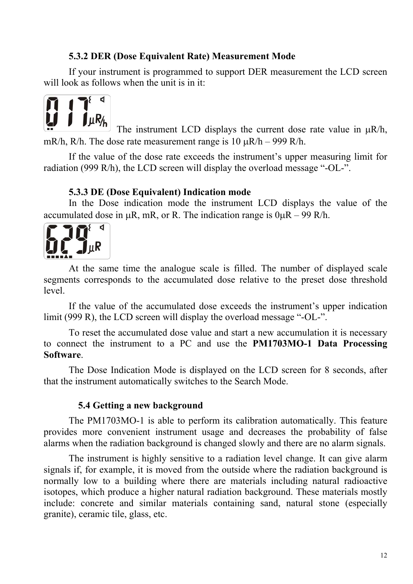### <span id="page-11-0"></span>**5.3.2 DER (Dose Equivalent Rate) Measurement Mode**

If your instrument is programmed to support DER measurement the LCD screen will look as follows when the unit is in it:



The instrument LCD displays the current dose rate value in  $\mu$ R/h, mR/h, R/h. The dose rate measurement range is  $10 \mu R/h - 999 R/h$ .

If the value of the dose rate exceeds the instrument's upper measuring limit for radiation (999 R/h), the LCD screen will display the overload message "-OL-".

#### <span id="page-11-1"></span>**5.3.3 DE (Dose Equivalent) Indication mode**

In the Dose indication mode the instrument LCD displays the value of the accumulated dose in  $\mu$ R, mR, or R. The indication range is  $0\mu$ R – 99 R/h.



At the same time the analogue scale is filled. The number of displayed scale segments corresponds to the accumulated dose relative to the preset dose threshold level.

If the value of the accumulated dose exceeds the instrument's upper indication limit (999 R), the LCD screen will display the overload message "-OL-".

To reset the accumulated dose value and start a new accumulation it is necessary to connect the instrument to a PC and use the **PM1703MO-1 Data Processing Software**.

The Dose Indication Mode is displayed on the LCD screen for 8 seconds, after that the instrument automatically switches to the Search Mode.

### <span id="page-11-2"></span>**5.4 Getting a new background**

The PM1703MO-1 is able to perform its calibration automatically. This feature provides more convenient instrument usage and decreases the probability of false alarms when the radiation background is changed slowly and there are no alarm signals.

The instrument is highly sensitive to a radiation level change. It can give alarm signals if, for example, it is moved from the outside where the radiation background is normally low to a building where there are materials including natural radioactive isotopes, which produce a higher natural radiation background. These materials mostly include: concrete and similar materials containing sand, natural stone (especially granite), ceramic tile, glass, etc.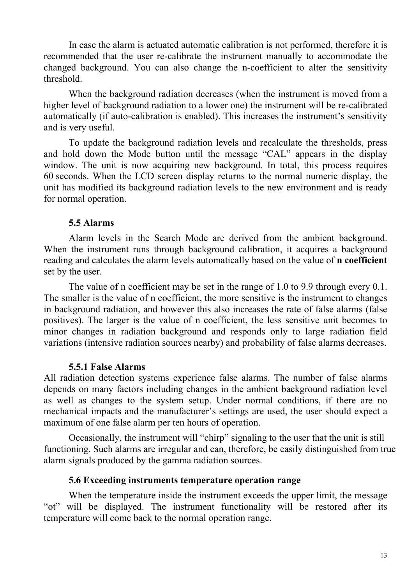In case the alarm is actuated automatic calibration is not performed, therefore it is recommended that the user re-calibrate the instrument manually to accommodate the changed background. You can also change the n-coefficient to alter the sensitivity threshold.

When the background radiation decreases (when the instrument is moved from a higher level of background radiation to a lower one) the instrument will be re-calibrated automatically (if auto-calibration is enabled). This increases the instrument's sensitivity and is very useful.

To update the background radiation levels and recalculate the thresholds, press and hold down the Mode button until the message "CAL" appears in the display window. The unit is now acquiring new background. In total, this process requires 60 seconds. When the LCD screen display returns to the normal numeric display, the unit has modified its background radiation levels to the new environment and is ready for normal operation.

#### <span id="page-12-0"></span>**5.5 Alarms**

Alarm levels in the Search Mode are derived from the ambient background. When the instrument runs through background calibration, it acquires a background reading and calculates the alarm levels automatically based on the value of **n coefficient** set by the user.

The value of n coefficient may be set in the range of 1.0 to 9.9 through every 0.1. The smaller is the value of n coefficient, the more sensitive is the instrument to changes in background radiation, and however this also increases the rate of false alarms (false positives). The larger is the value of n coefficient, the less sensitive unit becomes to minor changes in radiation background and responds only to large radiation field variations (intensive radiation sources nearby) and probability of false alarms decreases.

#### <span id="page-12-1"></span>**5.5.1 False Alarms**

All radiation detection systems experience false alarms. The number of false alarms depends on many factors including changes in the ambient background radiation level as well as changes to the system setup. Under normal conditions, if there are no mechanical impacts and the manufacturer's settings are used, the user should expect a maximum of one false alarm per ten hours of operation.

Occasionally, the instrument will "chirp" signaling to the user that the unit is still functioning. Such alarms are irregular and can, therefore, be easily distinguished from true alarm signals produced by the gamma radiation sources.

#### <span id="page-12-2"></span>**5.6 Exceeding instruments temperature operation range**

When the temperature inside the instrument exceeds the upper limit, the message "ot" will be displayed. The instrument functionality will be restored after its temperature will come back to the normal operation range.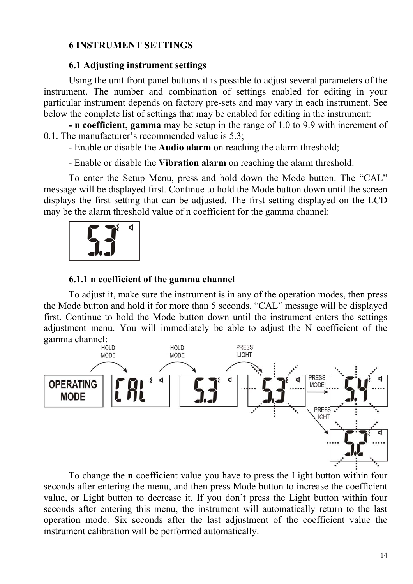### <span id="page-13-0"></span>**6 INSTRUMENT SETTINGS**

#### <span id="page-13-1"></span>**6.1 Adjusting instrument settings**

Using the unit front panel buttons it is possible to adjust several parameters of the instrument. The number and combination of settings enabled for editing in your particular instrument depends on factory pre-sets and may vary in each instrument. See below the complete list of settings that may be enabled for editing in the instrument:

**- n coefficient, gamma** may be setup in the range of 1.0 to 9.9 with increment of 0.1. The manufacturer's recommended value is 5.3;

- Enable or disable the **Audio alarm** on reaching the alarm threshold;

- Enable or disable the **Vibration alarm** on reaching the alarm threshold.

To enter the Setup Menu, press and hold down the Mode button. The "CAL" message will be displayed first. Continue to hold the Mode button down until the screen displays the first setting that can be adjusted. The first setting displayed on the LCD may be the alarm threshold value of n coefficient for the gamma channel:



#### <span id="page-13-2"></span>**6.1.1 n coefficient of the gamma channel**

To adjust it, make sure the instrument is in any of the operation modes, then press the Mode button and hold it for more than 5 seconds, "CAL" message will be displayed first. Continue to hold the Mode button down until the instrument enters the settings adjustment menu. You will immediately be able to adjust the N coefficient of the gamma channel:



To change the **n** coefficient value you have to press the Light button within four seconds after entering the menu, and then press Mode button to increase the coefficient value, or Light button to decrease it. If you don't press the Light button within four seconds after entering this menu, the instrument will automatically return to the last operation mode. Six seconds after the last adjustment of the coefficient value the instrument calibration will be performed automatically.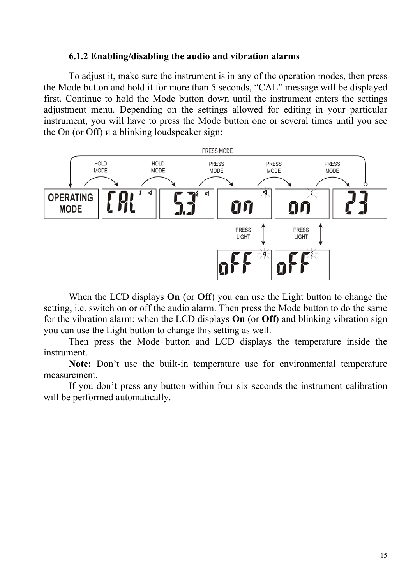#### <span id="page-14-0"></span>**6.1.2 Enabling/disabling the audio and vibration alarms**

To adjust it, make sure the instrument is in any of the operation modes, then press the Mode button and hold it for more than 5 seconds, "CAL" message will be displayed first. Continue to hold the Mode button down until the instrument enters the settings adjustment menu. Depending on the settings allowed for editing in your particular instrument, you will have to press the Mode button one or several times until you see the On (or Off) и a blinking loudspeaker sign:



When the LCD displays **On** (or **Off**) you can use the Light button to change the setting, i.e. switch on or off the audio alarm. Then press the Mode button to do the same for the vibration alarm: when the LCD displays **On** (or **Off**) and blinking vibration sign you can use the Light button to change this setting as well.

Then press the Mode button and LCD displays the temperature inside the instrument.

**Note:** Don't use the built-in temperature use for environmental temperature measurement.

If you don't press any button within four six seconds the instrument calibration will be performed automatically.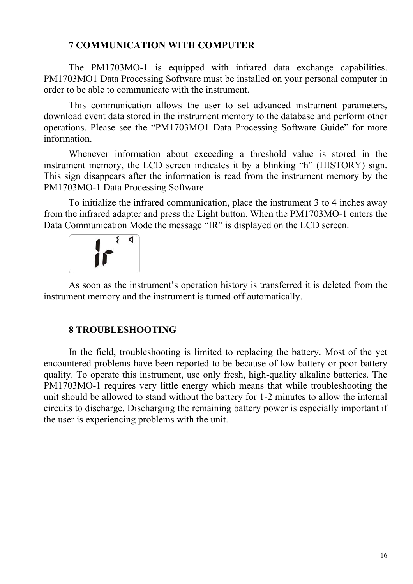### <span id="page-15-0"></span>**7 COMMUNICATION WITH COMPUTER**

The PM1703MO-1 is equipped with infrared data exchange capabilities. PM1703MO1 Data Processing Software must be installed on your personal computer in order to be able to communicate with the instrument.

This communication allows the user to set advanced instrument parameters, download event data stored in the instrument memory to the database and perform other operations. Please see the "PM1703MO1 Data Processing Software Guide" for more information.

Whenever information about exceeding a threshold value is stored in the instrument memory, the LCD screen indicates it by a blinking "h" (HISTORY) sign. This sign disappears after the information is read from the instrument memory by the PM1703MO-1 Data Processing Software.

To initialize the infrared communication, place the instrument 3 to 4 inches away from the infrared adapter and press the Light button. When the РМ1703МО-1 enters the Data Communication Mode the message "IR" is displayed on the LCD screen.



As soon as the instrument's operation history is transferred it is deleted from the instrument memory and the instrument is turned off automatically.

### <span id="page-15-1"></span>**8 TROUBLESHOOTING**

In the field, troubleshooting is limited to replacing the battery. Most of the yet encountered problems have been reported to be because of low battery or poor battery quality. To operate this instrument, use only fresh, high-quality alkaline batteries. The РМ1703МО-1 requires very little energy which means that while troubleshooting the unit should be allowed to stand without the battery for 1-2 minutes to allow the internal circuits to discharge. Discharging the remaining battery power is especially important if the user is experiencing problems with the unit.